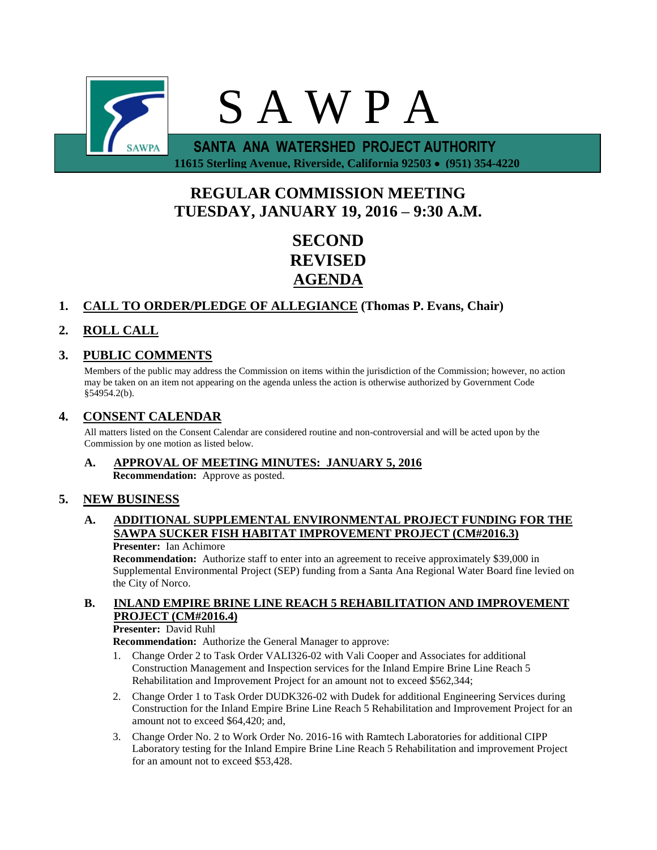

 **11615 Sterling Avenue, Riverside, California 92503 (951) 354-4220**

# **REGULAR COMMISSION MEETING TUESDAY, JANUARY 19, 2016 – 9:30 A.M.**

**SECOND REVISED AGENDA**

# **1. CALL TO ORDER/PLEDGE OF ALLEGIANCE (Thomas P. Evans, Chair)**

# **2. ROLL CALL**

## **3. PUBLIC COMMENTS**

Members of the public may address the Commission on items within the jurisdiction of the Commission; however, no action may be taken on an item not appearing on the agenda unless the action is otherwise authorized by Government Code §54954.2(b).

#### **4. CONSENT CALENDAR**

All matters listed on the Consent Calendar are considered routine and non-controversial and will be acted upon by the Commission by one motion as listed below.

**A. APPROVAL OF MEETING MINUTES: JANUARY 5, 2016 Recommendation:** Approve as posted.

### **5. NEW BUSINESS**

### **A. ADDITIONAL SUPPLEMENTAL ENVIRONMENTAL PROJECT FUNDING FOR THE SAWPA SUCKER FISH HABITAT IMPROVEMENT PROJECT (CM#2016.3)**

#### **Presenter:** Ian Achimore

**Recommendation:** Authorize staff to enter into an agreement to receive approximately \$39,000 in Supplemental Environmental Project (SEP) funding from a Santa Ana Regional Water Board fine levied on the City of Norco.

### **B. INLAND EMPIRE BRINE LINE REACH 5 REHABILITATION AND IMPROVEMENT PROJECT (CM#2016.4)**

#### **Presenter:** David Ruhl

**Recommendation:** Authorize the General Manager to approve:

- 1. Change Order 2 to Task Order VALI326-02 with Vali Cooper and Associates for additional Construction Management and Inspection services for the Inland Empire Brine Line Reach 5 Rehabilitation and Improvement Project for an amount not to exceed \$562,344;
- 2. Change Order 1 to Task Order DUDK326-02 with Dudek for additional Engineering Services during Construction for the Inland Empire Brine Line Reach 5 Rehabilitation and Improvement Project for an amount not to exceed \$64,420; and,
- 3. Change Order No. 2 to Work Order No. 2016-16 with Ramtech Laboratories for additional CIPP Laboratory testing for the Inland Empire Brine Line Reach 5 Rehabilitation and improvement Project for an amount not to exceed \$53,428.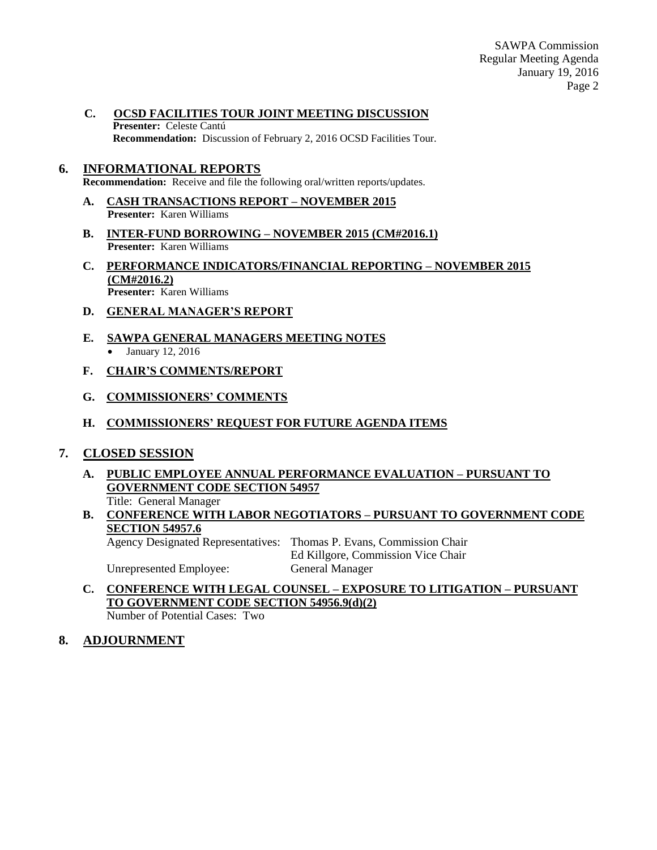**C. OCSD FACILITIES TOUR JOINT MEETING DISCUSSION Presenter:** Celeste Cantú **Recommendation:** Discussion of February 2, 2016 OCSD Facilities Tour.

#### **6. INFORMATIONAL REPORTS**

**Recommendation:** Receive and file the following oral/written reports/updates.

- **A. CASH TRANSACTIONS REPORT – NOVEMBER 2015 Presenter:** Karen Williams
- **B. INTER-FUND BORROWING – NOVEMBER 2015 (CM#2016.1) Presenter:** Karen Williams
- **C. PERFORMANCE INDICATORS/FINANCIAL REPORTING – NOVEMBER 2015 (CM#2016.2) Presenter:** Karen Williams
- **D. GENERAL MANAGER'S REPORT**
- **E. SAWPA GENERAL MANAGERS MEETING NOTES** • January 12, 2016
- **F. CHAIR'S COMMENTS/REPORT**
- **G. COMMISSIONERS' COMMENTS**
- **H. COMMISSIONERS' REQUEST FOR FUTURE AGENDA ITEMS**

#### **7. CLOSED SESSION**

**A. PUBLIC EMPLOYEE ANNUAL PERFORMANCE EVALUATION – PURSUANT TO GOVERNMENT CODE SECTION 54957**

Title: General Manager

**B. CONFERENCE WITH LABOR NEGOTIATORS – PURSUANT TO GOVERNMENT CODE SECTION 54957.6**

Agency Designated Representatives: Thomas P. Evans, Commission Chair Ed Killgore, Commission Vice Chair Unrepresented Employee: General Manager

**C. CONFERENCE WITH LEGAL COUNSEL – EXPOSURE TO LITIGATION – PURSUANT TO GOVERNMENT CODE SECTION 54956.9(d)(2)**

Number of Potential Cases: Two

**8. ADJOURNMENT**